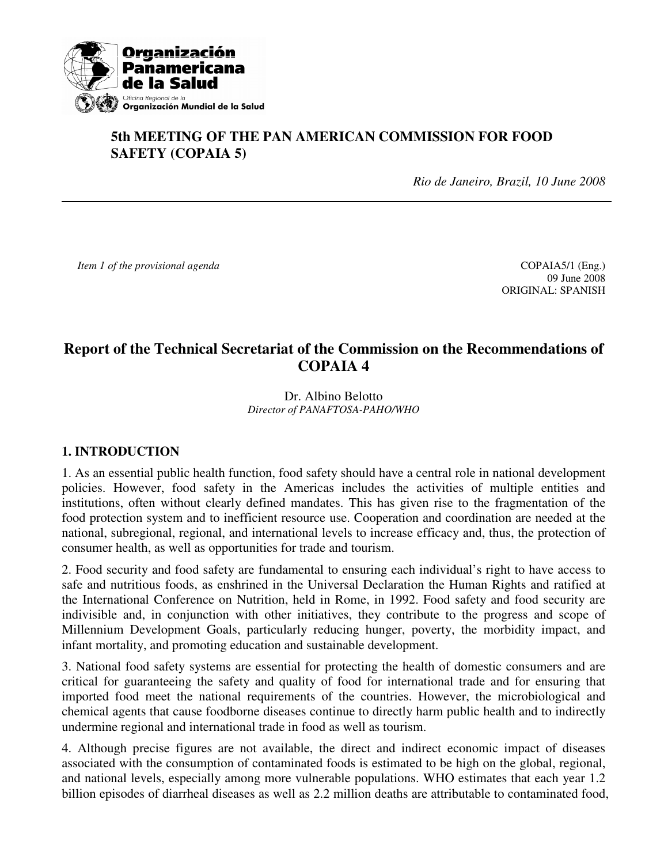

# **5th MEETING OF THE PAN AMERICAN COMMISSION FOR FOOD SAFETY (COPAIA 5)**

*Rio de Janeiro, Brazil, 10 June 2008* 

*Item 1 of the provisional agenda* **COPAIA5/1** (Eng.)

 09 June 2008 ORIGINAL: SPANISH

# **Report of the Technical Secretariat of the Commission on the Recommendations of COPAIA 4**

#### Dr. Albino Belotto *Director of PANAFTOSA-PAHO/WHO*

### **1. INTRODUCTION**

1. As an essential public health function, food safety should have a central role in national development policies. However, food safety in the Americas includes the activities of multiple entities and institutions, often without clearly defined mandates. This has given rise to the fragmentation of the food protection system and to inefficient resource use. Cooperation and coordination are needed at the national, subregional, regional, and international levels to increase efficacy and, thus, the protection of consumer health, as well as opportunities for trade and tourism.

2. Food security and food safety are fundamental to ensuring each individual's right to have access to safe and nutritious foods, as enshrined in the Universal Declaration the Human Rights and ratified at the International Conference on Nutrition, held in Rome, in 1992. Food safety and food security are indivisible and, in conjunction with other initiatives, they contribute to the progress and scope of Millennium Development Goals, particularly reducing hunger, poverty, the morbidity impact, and infant mortality, and promoting education and sustainable development.

3. National food safety systems are essential for protecting the health of domestic consumers and are critical for guaranteeing the safety and quality of food for international trade and for ensuring that imported food meet the national requirements of the countries. However, the microbiological and chemical agents that cause foodborne diseases continue to directly harm public health and to indirectly undermine regional and international trade in food as well as tourism.

4. Although precise figures are not available, the direct and indirect economic impact of diseases associated with the consumption of contaminated foods is estimated to be high on the global, regional, and national levels, especially among more vulnerable populations. WHO estimates that each year 1.2 billion episodes of diarrheal diseases as well as 2.2 million deaths are attributable to contaminated food,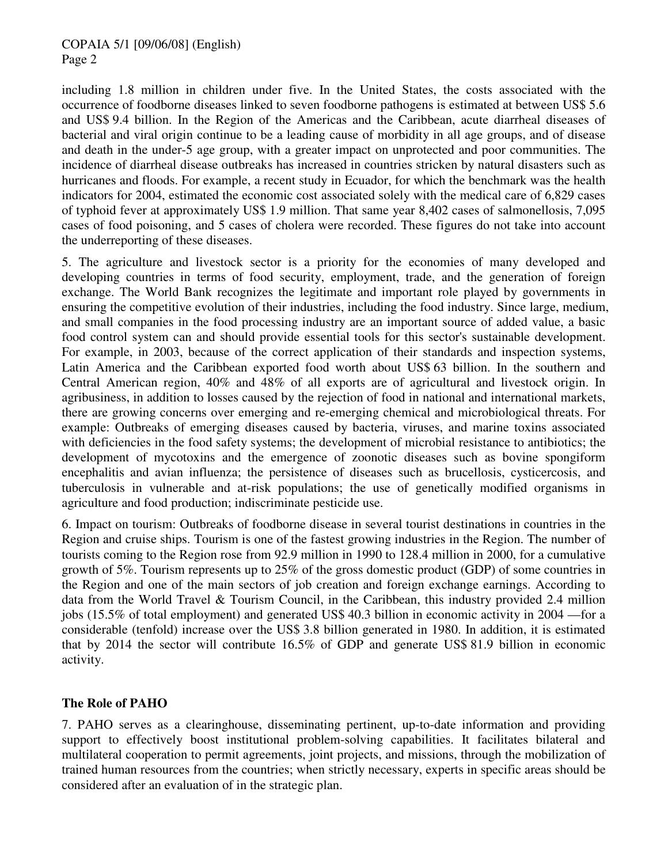### COPAIA 5/1 [09/06/08] (English) Page 2

including 1.8 million in children under five. In the United States, the costs associated with the occurrence of foodborne diseases linked to seven foodborne pathogens is estimated at between US\$ 5.6 and US\$ 9.4 billion. In the Region of the Americas and the Caribbean, acute diarrheal diseases of bacterial and viral origin continue to be a leading cause of morbidity in all age groups, and of disease and death in the under-5 age group, with a greater impact on unprotected and poor communities. The incidence of diarrheal disease outbreaks has increased in countries stricken by natural disasters such as hurricanes and floods. For example, a recent study in Ecuador, for which the benchmark was the health indicators for 2004, estimated the economic cost associated solely with the medical care of 6,829 cases of typhoid fever at approximately US\$ 1.9 million. That same year 8,402 cases of salmonellosis, 7,095 cases of food poisoning, and 5 cases of cholera were recorded. These figures do not take into account the underreporting of these diseases.

5. The agriculture and livestock sector is a priority for the economies of many developed and developing countries in terms of food security, employment, trade, and the generation of foreign exchange. The World Bank recognizes the legitimate and important role played by governments in ensuring the competitive evolution of their industries, including the food industry. Since large, medium, and small companies in the food processing industry are an important source of added value, a basic food control system can and should provide essential tools for this sector's sustainable development. For example, in 2003, because of the correct application of their standards and inspection systems, Latin America and the Caribbean exported food worth about US\$ 63 billion. In the southern and Central American region, 40% and 48% of all exports are of agricultural and livestock origin. In agribusiness, in addition to losses caused by the rejection of food in national and international markets, there are growing concerns over emerging and re-emerging chemical and microbiological threats. For example: Outbreaks of emerging diseases caused by bacteria, viruses, and marine toxins associated with deficiencies in the food safety systems; the development of microbial resistance to antibiotics; the development of mycotoxins and the emergence of zoonotic diseases such as bovine spongiform encephalitis and avian influenza; the persistence of diseases such as brucellosis, cysticercosis, and tuberculosis in vulnerable and at-risk populations; the use of genetically modified organisms in agriculture and food production; indiscriminate pesticide use.

6. Impact on tourism: Outbreaks of foodborne disease in several tourist destinations in countries in the Region and cruise ships. Tourism is one of the fastest growing industries in the Region. The number of tourists coming to the Region rose from 92.9 million in 1990 to 128.4 million in 2000, for a cumulative growth of 5%. Tourism represents up to 25% of the gross domestic product (GDP) of some countries in the Region and one of the main sectors of job creation and foreign exchange earnings. According to data from the World Travel & Tourism Council, in the Caribbean, this industry provided 2.4 million jobs (15.5% of total employment) and generated US\$ 40.3 billion in economic activity in 2004 —for a considerable (tenfold) increase over the US\$ 3.8 billion generated in 1980. In addition, it is estimated that by 2014 the sector will contribute 16.5% of GDP and generate US\$ 81.9 billion in economic activity.

### **The Role of PAHO**

7. PAHO serves as a clearinghouse, disseminating pertinent, up-to-date information and providing support to effectively boost institutional problem-solving capabilities. It facilitates bilateral and multilateral cooperation to permit agreements, joint projects, and missions, through the mobilization of trained human resources from the countries; when strictly necessary, experts in specific areas should be considered after an evaluation of in the strategic plan.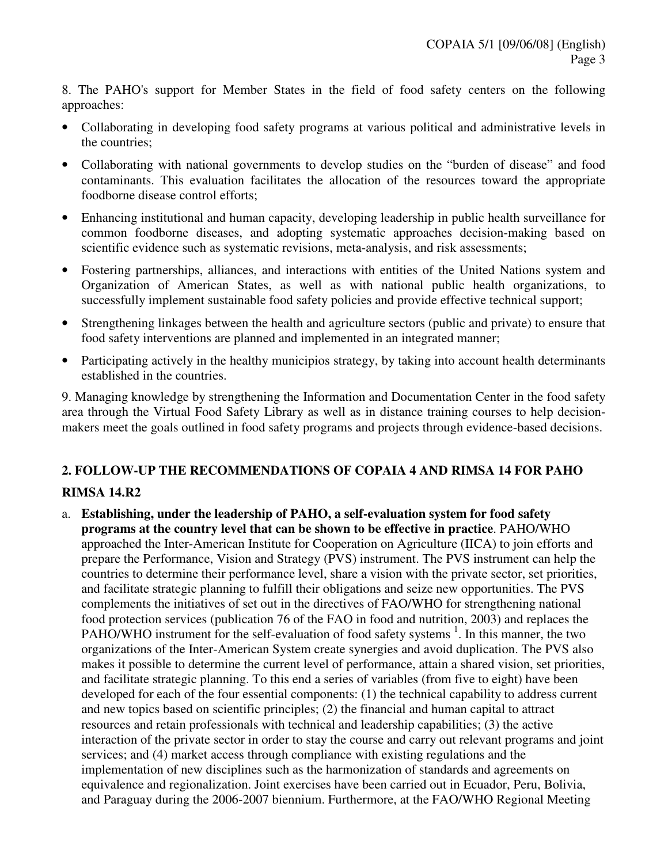8. The PAHO's support for Member States in the field of food safety centers on the following approaches:

- Collaborating in developing food safety programs at various political and administrative levels in the countries;
- Collaborating with national governments to develop studies on the "burden of disease" and food contaminants. This evaluation facilitates the allocation of the resources toward the appropriate foodborne disease control efforts;
- Enhancing institutional and human capacity, developing leadership in public health surveillance for common foodborne diseases, and adopting systematic approaches decision-making based on scientific evidence such as systematic revisions, meta-analysis, and risk assessments;
- Fostering partnerships, alliances, and interactions with entities of the United Nations system and Organization of American States, as well as with national public health organizations, to successfully implement sustainable food safety policies and provide effective technical support;
- Strengthening linkages between the health and agriculture sectors (public and private) to ensure that food safety interventions are planned and implemented in an integrated manner;
- Participating actively in the healthy municipios strategy, by taking into account health determinants established in the countries.

9. Managing knowledge by strengthening the Information and Documentation Center in the food safety area through the Virtual Food Safety Library as well as in distance training courses to help decisionmakers meet the goals outlined in food safety programs and projects through evidence-based decisions.

# **2. FOLLOW-UP THE RECOMMENDATIONS OF COPAIA 4 AND RIMSA 14 FOR PAHO**

## **RIMSA 14.R2**

a. **Establishing, under the leadership of PAHO, a self-evaluation system for food safety programs at the country level that can be shown to be effective in practice**. PAHO/WHO approached the Inter-American Institute for Cooperation on Agriculture (IICA) to join efforts and prepare the Performance, Vision and Strategy (PVS) instrument. The PVS instrument can help the countries to determine their performance level, share a vision with the private sector, set priorities, and facilitate strategic planning to fulfill their obligations and seize new opportunities. The PVS complements the initiatives of set out in the directives of FAO/WHO for strengthening national food protection services (publication 76 of the FAO in food and nutrition, 2003) and replaces the PAHO/WHO instrument for the self-evaluation of food safety systems <sup>1</sup>. In this manner, the two organizations of the Inter-American System create synergies and avoid duplication. The PVS also makes it possible to determine the current level of performance, attain a shared vision, set priorities, and facilitate strategic planning. To this end a series of variables (from five to eight) have been developed for each of the four essential components: (1) the technical capability to address current and new topics based on scientific principles; (2) the financial and human capital to attract resources and retain professionals with technical and leadership capabilities; (3) the active interaction of the private sector in order to stay the course and carry out relevant programs and joint services; and (4) market access through compliance with existing regulations and the implementation of new disciplines such as the harmonization of standards and agreements on equivalence and regionalization. Joint exercises have been carried out in Ecuador, Peru, Bolivia, and Paraguay during the 2006-2007 biennium. Furthermore, at the FAO/WHO Regional Meeting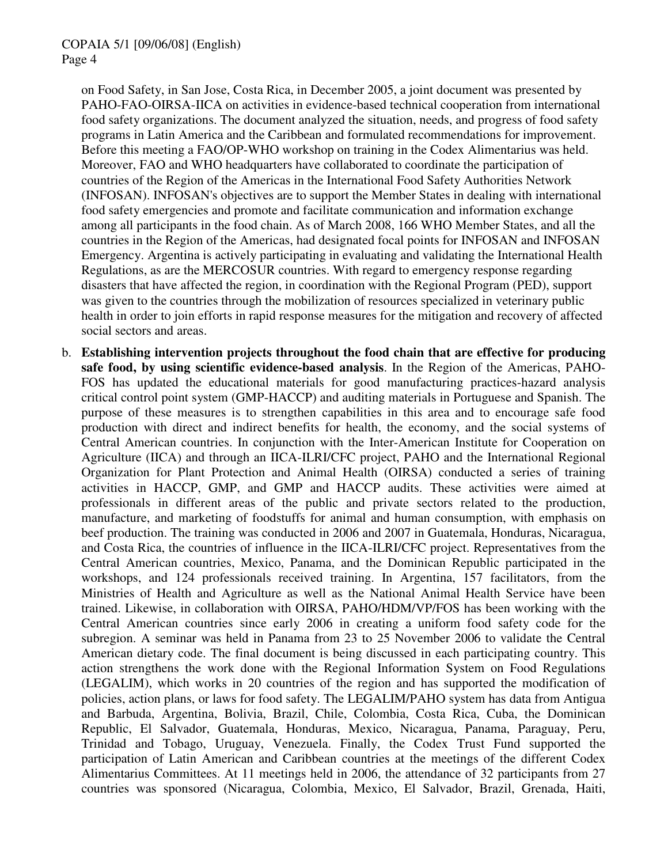on Food Safety, in San Jose, Costa Rica, in December 2005, a joint document was presented by PAHO-FAO-OIRSA-IICA on activities in evidence-based technical cooperation from international food safety organizations. The document analyzed the situation, needs, and progress of food safety programs in Latin America and the Caribbean and formulated recommendations for improvement. Before this meeting a FAO/OP-WHO workshop on training in the Codex Alimentarius was held. Moreover, FAO and WHO headquarters have collaborated to coordinate the participation of countries of the Region of the Americas in the International Food Safety Authorities Network (INFOSAN). INFOSAN's objectives are to support the Member States in dealing with international food safety emergencies and promote and facilitate communication and information exchange among all participants in the food chain. As of March 2008, 166 WHO Member States, and all the countries in the Region of the Americas, had designated focal points for INFOSAN and INFOSAN Emergency. Argentina is actively participating in evaluating and validating the International Health Regulations, as are the MERCOSUR countries. With regard to emergency response regarding disasters that have affected the region, in coordination with the Regional Program (PED), support was given to the countries through the mobilization of resources specialized in veterinary public health in order to join efforts in rapid response measures for the mitigation and recovery of affected social sectors and areas.

b. **Establishing intervention projects throughout the food chain that are effective for producing safe food, by using scientific evidence-based analysis**. In the Region of the Americas, PAHO-FOS has updated the educational materials for good manufacturing practices-hazard analysis critical control point system (GMP-HACCP) and auditing materials in Portuguese and Spanish. The purpose of these measures is to strengthen capabilities in this area and to encourage safe food production with direct and indirect benefits for health, the economy, and the social systems of Central American countries. In conjunction with the Inter-American Institute for Cooperation on Agriculture (IICA) and through an IICA-ILRI/CFC project, PAHO and the International Regional Organization for Plant Protection and Animal Health (OIRSA) conducted a series of training activities in HACCP, GMP, and GMP and HACCP audits. These activities were aimed at professionals in different areas of the public and private sectors related to the production, manufacture, and marketing of foodstuffs for animal and human consumption, with emphasis on beef production. The training was conducted in 2006 and 2007 in Guatemala, Honduras, Nicaragua, and Costa Rica, the countries of influence in the IICA-ILRI/CFC project. Representatives from the Central American countries, Mexico, Panama, and the Dominican Republic participated in the workshops, and 124 professionals received training. In Argentina, 157 facilitators, from the Ministries of Health and Agriculture as well as the National Animal Health Service have been trained. Likewise, in collaboration with OIRSA, PAHO/HDM/VP/FOS has been working with the Central American countries since early 2006 in creating a uniform food safety code for the subregion. A seminar was held in Panama from 23 to 25 November 2006 to validate the Central American dietary code. The final document is being discussed in each participating country. This action strengthens the work done with the Regional Information System on Food Regulations (LEGALIM), which works in 20 countries of the region and has supported the modification of policies, action plans, or laws for food safety. The LEGALIM/PAHO system has data from Antigua and Barbuda, Argentina, Bolivia, Brazil, Chile, Colombia, Costa Rica, Cuba, the Dominican Republic, El Salvador, Guatemala, Honduras, Mexico, Nicaragua, Panama, Paraguay, Peru, Trinidad and Tobago, Uruguay, Venezuela. Finally, the Codex Trust Fund supported the participation of Latin American and Caribbean countries at the meetings of the different Codex Alimentarius Committees. At 11 meetings held in 2006, the attendance of 32 participants from 27 countries was sponsored (Nicaragua, Colombia, Mexico, El Salvador, Brazil, Grenada, Haiti,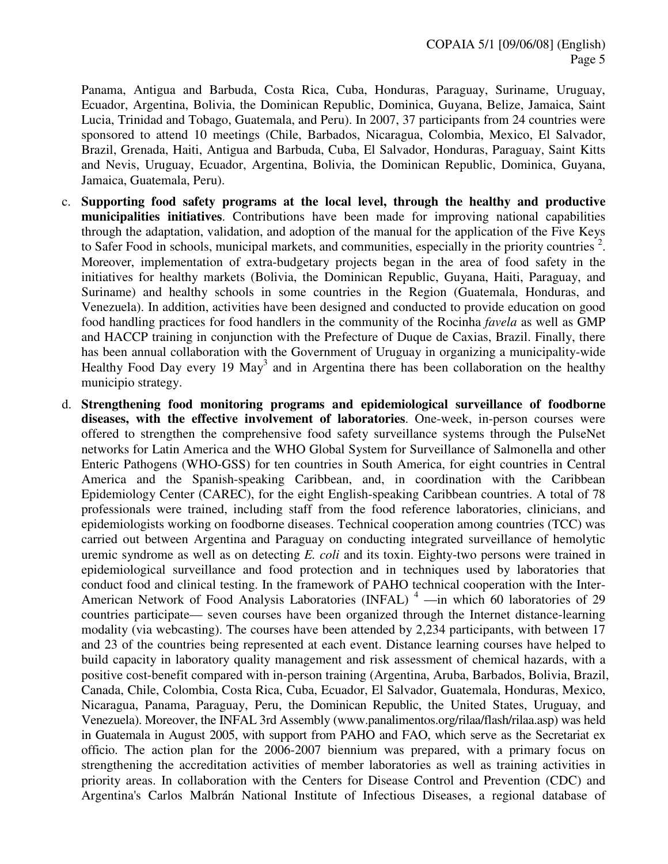Panama, Antigua and Barbuda, Costa Rica, Cuba, Honduras, Paraguay, Suriname, Uruguay, Ecuador, Argentina, Bolivia, the Dominican Republic, Dominica, Guyana, Belize, Jamaica, Saint Lucia, Trinidad and Tobago, Guatemala, and Peru). In 2007, 37 participants from 24 countries were sponsored to attend 10 meetings (Chile, Barbados, Nicaragua, Colombia, Mexico, El Salvador, Brazil, Grenada, Haiti, Antigua and Barbuda, Cuba, El Salvador, Honduras, Paraguay, Saint Kitts and Nevis, Uruguay, Ecuador, Argentina, Bolivia, the Dominican Republic, Dominica, Guyana, Jamaica, Guatemala, Peru).

- c. **Supporting food safety programs at the local level, through the healthy and productive municipalities initiatives**. Contributions have been made for improving national capabilities through the adaptation, validation, and adoption of the manual for the application of the Five Keys to Safer Food in schools, municipal markets, and communities, especially in the priority countries<sup>2</sup>. Moreover, implementation of extra-budgetary projects began in the area of food safety in the initiatives for healthy markets (Bolivia, the Dominican Republic, Guyana, Haiti, Paraguay, and Suriname) and healthy schools in some countries in the Region (Guatemala, Honduras, and Venezuela). In addition, activities have been designed and conducted to provide education on good food handling practices for food handlers in the community of the Rocinha *favela* as well as GMP and HACCP training in conjunction with the Prefecture of Duque de Caxias, Brazil. Finally, there has been annual collaboration with the Government of Uruguay in organizing a municipality-wide Healthy Food Day every 19 May<sup>3</sup> and in Argentina there has been collaboration on the healthy municipio strategy.
- d. **Strengthening food monitoring programs and epidemiological surveillance of foodborne diseases, with the effective involvement of laboratories**. One-week, in-person courses were offered to strengthen the comprehensive food safety surveillance systems through the PulseNet networks for Latin America and the WHO Global System for Surveillance of Salmonella and other Enteric Pathogens (WHO-GSS) for ten countries in South America, for eight countries in Central America and the Spanish-speaking Caribbean, and, in coordination with the Caribbean Epidemiology Center (CAREC), for the eight English-speaking Caribbean countries. A total of 78 professionals were trained, including staff from the food reference laboratories, clinicians, and epidemiologists working on foodborne diseases. Technical cooperation among countries (TCC) was carried out between Argentina and Paraguay on conducting integrated surveillance of hemolytic uremic syndrome as well as on detecting *E. coli* and its toxin. Eighty-two persons were trained in epidemiological surveillance and food protection and in techniques used by laboratories that conduct food and clinical testing. In the framework of PAHO technical cooperation with the Inter-American Network of Food Analysis Laboratories (INFAL)<sup>4</sup> —in which 60 laboratories of 29 countries participate— seven courses have been organized through the Internet distance-learning modality (via webcasting). The courses have been attended by 2,234 participants, with between 17 and 23 of the countries being represented at each event. Distance learning courses have helped to build capacity in laboratory quality management and risk assessment of chemical hazards, with a positive cost-benefit compared with in-person training (Argentina, Aruba, Barbados, Bolivia, Brazil, Canada, Chile, Colombia, Costa Rica, Cuba, Ecuador, El Salvador, Guatemala, Honduras, Mexico, Nicaragua, Panama, Paraguay, Peru, the Dominican Republic, the United States, Uruguay, and Venezuela). Moreover, the INFAL 3rd Assembly (www.panalimentos.org/rilaa/flash/rilaa.asp) was held in Guatemala in August 2005, with support from PAHO and FAO, which serve as the Secretariat ex officio. The action plan for the 2006-2007 biennium was prepared, with a primary focus on strengthening the accreditation activities of member laboratories as well as training activities in priority areas. In collaboration with the Centers for Disease Control and Prevention (CDC) and Argentina's Carlos Malbrán National Institute of Infectious Diseases, a regional database of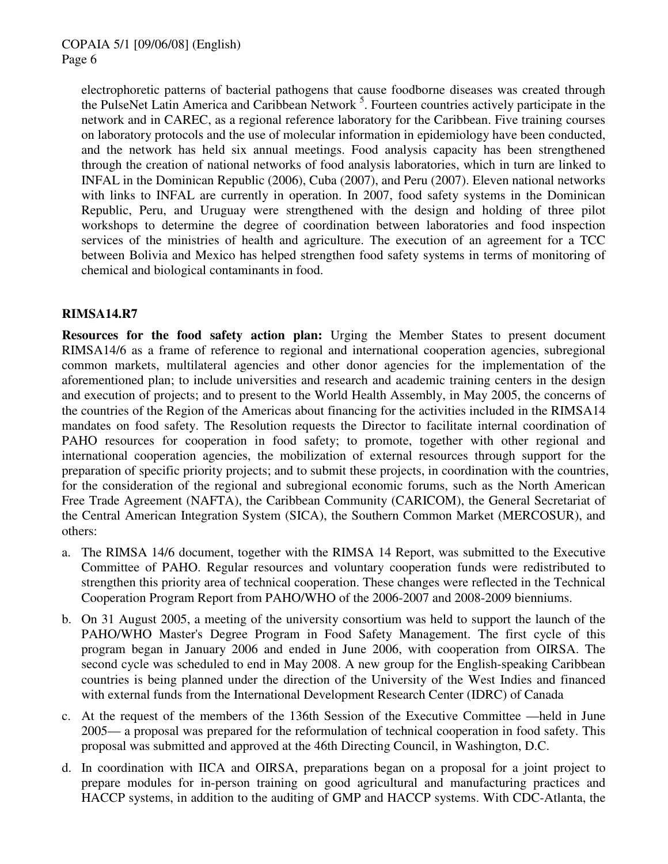electrophoretic patterns of bacterial pathogens that cause foodborne diseases was created through the PulseNet Latin America and Caribbean Network<sup>5</sup>. Fourteen countries actively participate in the network and in CAREC, as a regional reference laboratory for the Caribbean. Five training courses on laboratory protocols and the use of molecular information in epidemiology have been conducted, and the network has held six annual meetings. Food analysis capacity has been strengthened through the creation of national networks of food analysis laboratories, which in turn are linked to INFAL in the Dominican Republic (2006), Cuba (2007), and Peru (2007). Eleven national networks with links to INFAL are currently in operation. In 2007, food safety systems in the Dominican Republic, Peru, and Uruguay were strengthened with the design and holding of three pilot workshops to determine the degree of coordination between laboratories and food inspection services of the ministries of health and agriculture. The execution of an agreement for a TCC between Bolivia and Mexico has helped strengthen food safety systems in terms of monitoring of chemical and biological contaminants in food.

### **RIMSA14.R7**

**Resources for the food safety action plan:** Urging the Member States to present document RIMSA14/6 as a frame of reference to regional and international cooperation agencies, subregional common markets, multilateral agencies and other donor agencies for the implementation of the aforementioned plan; to include universities and research and academic training centers in the design and execution of projects; and to present to the World Health Assembly, in May 2005, the concerns of the countries of the Region of the Americas about financing for the activities included in the RIMSA14 mandates on food safety. The Resolution requests the Director to facilitate internal coordination of PAHO resources for cooperation in food safety; to promote, together with other regional and international cooperation agencies, the mobilization of external resources through support for the preparation of specific priority projects; and to submit these projects, in coordination with the countries, for the consideration of the regional and subregional economic forums, such as the North American Free Trade Agreement (NAFTA), the Caribbean Community (CARICOM), the General Secretariat of the Central American Integration System (SICA), the Southern Common Market (MERCOSUR), and others:

- a. The RIMSA 14/6 document, together with the RIMSA 14 Report, was submitted to the Executive Committee of PAHO. Regular resources and voluntary cooperation funds were redistributed to strengthen this priority area of technical cooperation. These changes were reflected in the Technical Cooperation Program Report from PAHO/WHO of the 2006-2007 and 2008-2009 bienniums.
- b. On 31 August 2005, a meeting of the university consortium was held to support the launch of the PAHO/WHO Master's Degree Program in Food Safety Management. The first cycle of this program began in January 2006 and ended in June 2006, with cooperation from OIRSA. The second cycle was scheduled to end in May 2008. A new group for the English-speaking Caribbean countries is being planned under the direction of the University of the West Indies and financed with external funds from the International Development Research Center (IDRC) of Canada
- c. At the request of the members of the 136th Session of the Executive Committee —held in June 2005— a proposal was prepared for the reformulation of technical cooperation in food safety. This proposal was submitted and approved at the 46th Directing Council, in Washington, D.C.
- d. In coordination with IICA and OIRSA, preparations began on a proposal for a joint project to prepare modules for in-person training on good agricultural and manufacturing practices and HACCP systems, in addition to the auditing of GMP and HACCP systems. With CDC-Atlanta, the